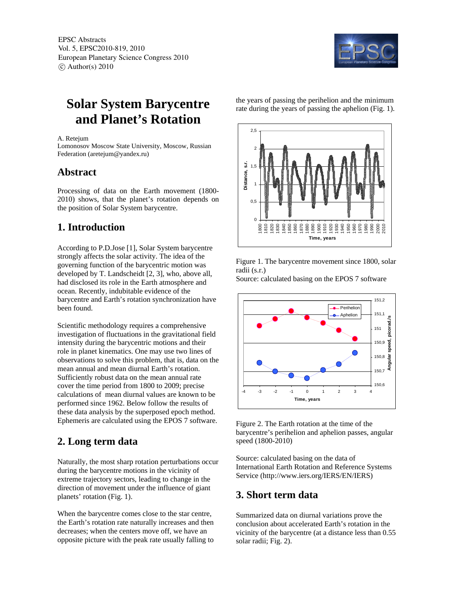EPSC Abstracts Vol. 5, EPSC2010-819, 2010 European Planetary Science Congress 2010  $\circ$  Author(s) 2010



# **Solar System Barycentre and Planet's Rotation**

#### A. Retejum

Lomonosov Moscow State University, Moscow, Russian Federation (aretejum@yandex.ru)

### **Abstract**

Processing of data on the Earth movement (1800- 2010) shows, that the planet's rotation depends on the position of Solar System barycentre.

# **1. Introduction**

According to P.D.Jose [1], Solar System barycentre strongly affects the solar activity. The idea of the governing function of the barycentric motion was developed by T. Landscheidt [2, 3], who, above all, had disclosed its role in the Earth atmosphere and ocean. Recently, indubitable evidence of the barycentre and Earth's rotation synchronization have been found.

Scientific methodology requires a comprehensive investigation of fluctuations in the gravitational field intensity during the barycentric motions and their role in planet kinematics. One may use two lines of observations to solve this problem, that is, data on the mean annual and mean diurnal Earth's rotation. Sufficiently robust data on the mean annual rate cover the time period from 1800 to 2009; precise calculations of mean diurnal values are known to be performed since 1962. Below follow the results of these data analysis by the superposed epoch method. Ephemeris are calculated using the EPOS 7 software.

# **2. Long term data**

Naturally, the most sharp rotation perturbations occur during the barycentre motions in the vicinity of extreme trajectory sectors, leading to change in the direction of movement under the influence of giant planets' rotation (Fig. 1).

When the barycentre comes close to the star centre, the Earth's rotation rate naturally increases and then decreases; when the centers move off, we have an opposite picture with the peak rate usually falling to the years of passing the perihelion and the minimum rate during the years of passing the aphelion (Fig. 1).



Figure 1. The barycentre movement since 1800, solar radii (s.r.)

Source: calculated basing on the EPOS 7 software



Figure 2. The Earth rotation at the time of the barycentre's perihelion and aphelion passes, angular speed (1800-2010)

Source: calculated basing on the data of International Earth Rotation and Reference Systems Service (http://www.iers.org/IERS/EN/IERS)

## **3. Short term data**

Summarized data on diurnal variations prove the conclusion about accelerated Earth's rotation in the vicinity of the barycentre (at a distance less than 0.55 solar radii; Fig. 2).